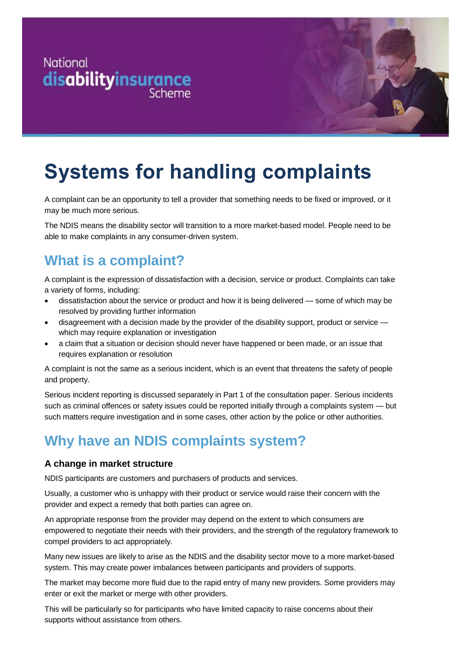



# **Systems for handling complaints**

A complaint can be an opportunity to tell a provider that something needs to be fixed or improved, or it may be much more serious.

The NDIS means the disability sector will transition to a more market-based model. People need to be able to make complaints in any consumer-driven system.

### **What is a complaint?**

A complaint is the expression of dissatisfaction with a decision, service or product. Complaints can take a variety of forms, including:

- dissatisfaction about the service or product and how it is being delivered some of which may be resolved by providing further information
- disagreement with a decision made by the provider of the disability support, product or service which may require explanation or investigation
- a claim that a situation or decision should never have happened or been made, or an issue that requires explanation or resolution

A complaint is not the same as a serious incident, which is an event that threatens the safety of people and property.

Serious incident reporting is discussed separately in Part 1 of the consultation paper. Serious incidents such as criminal offences or safety issues could be reported initially through a complaints system — but such matters require investigation and in some cases, other action by the police or other authorities.

## **Why have an NDIS complaints system?**

#### **A change in market structure**

NDIS participants are customers and purchasers of products and services.

Usually, a customer who is unhappy with their product or service would raise their concern with the provider and expect a remedy that both parties can agree on.

An appropriate response from the provider may depend on the extent to which consumers are empowered to negotiate their needs with their providers, and the strength of the regulatory framework to compel providers to act appropriately.

Many new issues are likely to arise as the NDIS and the disability sector move to a more market-based system. This may create power imbalances between participants and providers of supports.

The market may become more fluid due to the rapid entry of many new providers. Some providers may enter or exit the market or merge with other providers.

This will be particularly so for participants who have limited capacity to raise concerns about their supports without assistance from others.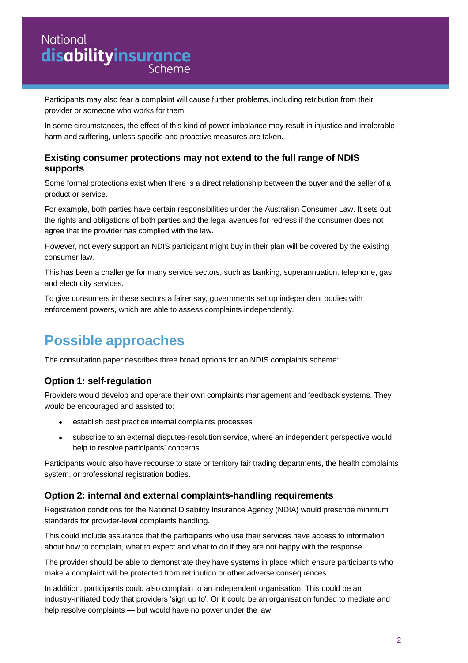## **National** National<br>**disabilityinsurance**

Participants may also fear a complaint will cause further problems, including retribution from their provider or someone who works for them.

In some circumstances, the effect of this kind of power imbalance may result in injustice and intolerable harm and suffering, unless specific and proactive measures are taken.

#### **Existing consumer protections may not extend to the full range of NDIS supports**

Some formal protections exist when there is a direct relationship between the buyer and the seller of a product or service.

For example, both parties have certain responsibilities under the Australian Consumer Law. It sets out the rights and obligations of both parties and the legal avenues for redress if the consumer does not agree that the provider has complied with the law.

However, not every support an NDIS participant might buy in their plan will be covered by the existing consumer law.

This has been a challenge for many service sectors, such as banking, superannuation, telephone, gas and electricity services.

To give consumers in these sectors a fairer say, governments set up independent bodies with enforcement powers, which are able to assess complaints independently.

## **Possible approaches**

The consultation paper describes three broad options for an NDIS complaints scheme:

#### **Option 1: self-regulation**

Providers would develop and operate their own complaints management and feedback systems. They would be encouraged and assisted to:

- establish best practice internal complaints processes
- subscribe to an external disputes-resolution service, where an independent perspective would help to resolve participants' concerns.

Participants would also have recourse to state or territory fair trading departments, the health complaints system, or professional registration bodies.

#### **Option 2: internal and external complaints-handling requirements**

Registration conditions for the National Disability Insurance Agency (NDIA) would prescribe minimum standards for provider-level complaints handling.

This could include assurance that the participants who use their services have access to information about how to complain, what to expect and what to do if they are not happy with the response.

The provider should be able to demonstrate they have systems in place which ensure participants who make a complaint will be protected from retribution or other adverse consequences.

In addition, participants could also complain to an independent organisation. This could be an industry-initiated body that providers 'sign up to'. Or it could be an organisation funded to mediate and help resolve complaints — but would have no power under the law.